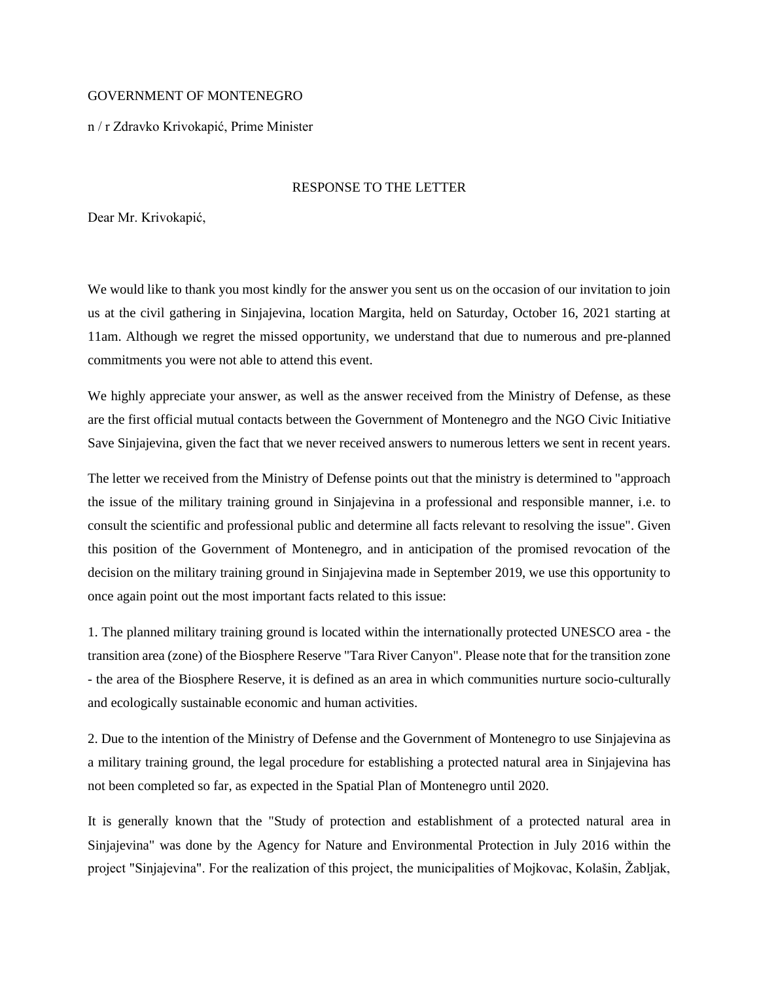## GOVERNMENT OF MONTENEGRO

n / r Zdravko Krivokapić, Prime Minister

## RESPONSE TO THE LETTER

Dear Mr. Krivokapić,

We would like to thank you most kindly for the answer you sent us on the occasion of our invitation to join us at the civil gathering in Sinjajevina, location Margita, held on Saturday, October 16, 2021 starting at 11am. Although we regret the missed opportunity, we understand that due to numerous and pre-planned commitments you were not able to attend this event.

We highly appreciate your answer, as well as the answer received from the Ministry of Defense, as these are the first official mutual contacts between the Government of Montenegro and the NGO Civic Initiative Save Sinjajevina, given the fact that we never received answers to numerous letters we sent in recent years.

The letter we received from the Ministry of Defense points out that the ministry is determined to "approach the issue of the military training ground in Sinjajevina in a professional and responsible manner, i.e. to consult the scientific and professional public and determine all facts relevant to resolving the issue". Given this position of the Government of Montenegro, and in anticipation of the promised revocation of the decision on the military training ground in Sinjajevina made in September 2019, we use this opportunity to once again point out the most important facts related to this issue:

1. The planned military training ground is located within the internationally protected UNESCO area - the transition area (zone) of the Biosphere Reserve "Tara River Canyon". Please note that for the transition zone - the area of the Biosphere Reserve, it is defined as an area in which communities nurture socio-culturally and ecologically sustainable economic and human activities.

2. Due to the intention of the Ministry of Defense and the Government of Montenegro to use Sinjajevina as a military training ground, the legal procedure for establishing a protected natural area in Sinjajevina has not been completed so far, as expected in the Spatial Plan of Montenegro until 2020.

It is generally known that the "Study of protection and establishment of a protected natural area in Sinjajevina" was done by the Agency for Nature and Environmental Protection in July 2016 within the project "Sinjajevina". For the realization of this project, the municipalities of Mojkovac, Kolašin, Žabljak,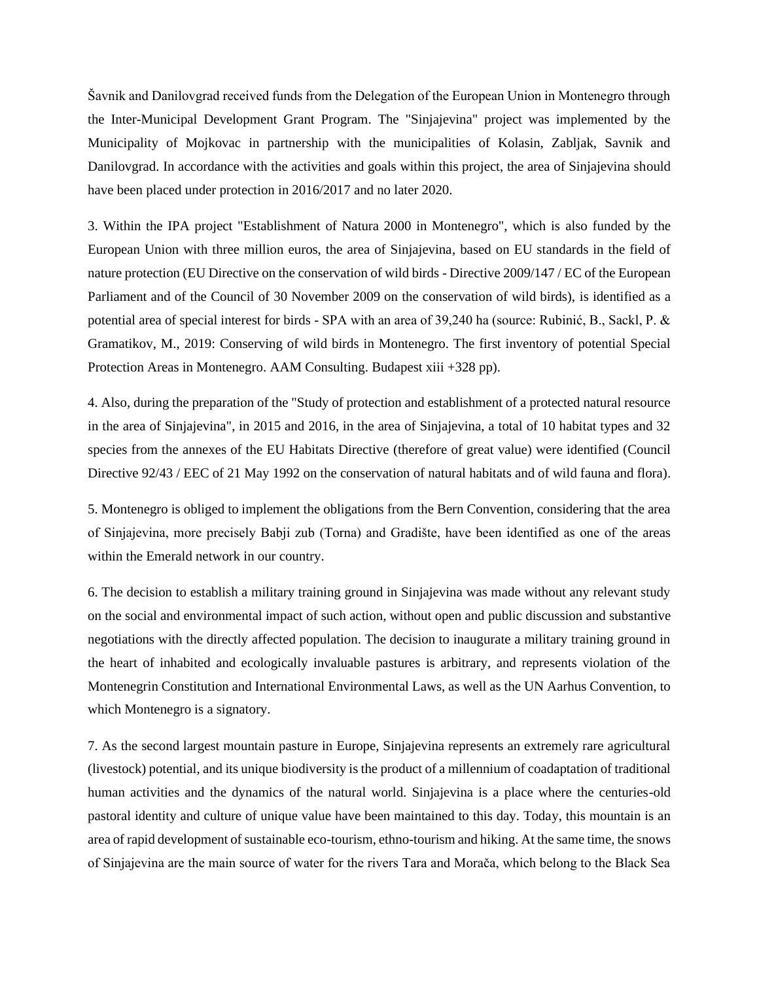Šavnik and Danilovgrad received funds from the Delegation of the European Union in Montenegro through the Inter-Municipal Development Grant Program. The "Sinjajevina" project was implemented by the Municipality of Mojkovac in partnership with the municipalities of Kolasin, Zabljak, Savnik and Danilovgrad. In accordance with the activities and goals within this project, the area of Sinjajevina should have been placed under protection in 2016/2017 and no later 2020.

3. Within the IPA project "Establishment of Natura 2000 in Montenegro", which is also funded by the European Union with three million euros, the area of Sinjajevina, based on EU standards in the field of nature protection (EU Directive on the conservation of wild birds - Directive 2009/147 / EC of the European Parliament and of the Council of 30 November 2009 on the conservation of wild birds), is identified as a potential area of special interest for birds - SPA with an area of 39,240 ha (source: Rubinić, B., Sackl, P. & Gramatikov, M., 2019: Conserving of wild birds in Montenegro. The first inventory of potential Special Protection Areas in Montenegro. AAM Consulting. Budapest xiii +328 pp).

4. Also, during the preparation of the "Study of protection and establishment of a protected natural resource in the area of Sinjajevina", in 2015 and 2016, in the area of Sinjajevina, a total of 10 habitat types and 32 species from the annexes of the EU Habitats Directive (therefore of great value) were identified (Council Directive 92/43 / EEC of 21 May 1992 on the conservation of natural habitats and of wild fauna and flora).

5. Montenegro is obliged to implement the obligations from the Bern Convention, considering that the area of Sinjajevina, more precisely Babji zub (Torna) and Gradište, have been identified as one of the areas within the Emerald network in our country.

6. The decision to establish a military training ground in Sinjajevina was made without any relevant study on the social and environmental impact of such action, without open and public discussion and substantive negotiations with the directly affected population. The decision to inaugurate a military training ground in the heart of inhabited and ecologically invaluable pastures is arbitrary, and represents violation of the Montenegrin Constitution and International Environmental Laws, as well as the UN Aarhus Convention, to which Montenegro is a signatory.

7. As the second largest mountain pasture in Europe, Sinjajevina represents an extremely rare agricultural (livestock) potential, and its unique biodiversity is the product of a millennium of coadaptation of traditional human activities and the dynamics of the natural world. Sinjajevina is a place where the centuries-old pastoral identity and culture of unique value have been maintained to this day. Today, this mountain is an area of rapid development of sustainable eco-tourism, ethno-tourism and hiking. At the same time, the snows of Sinjajevina are the main source of water for the rivers Tara and Morača, which belong to the Black Sea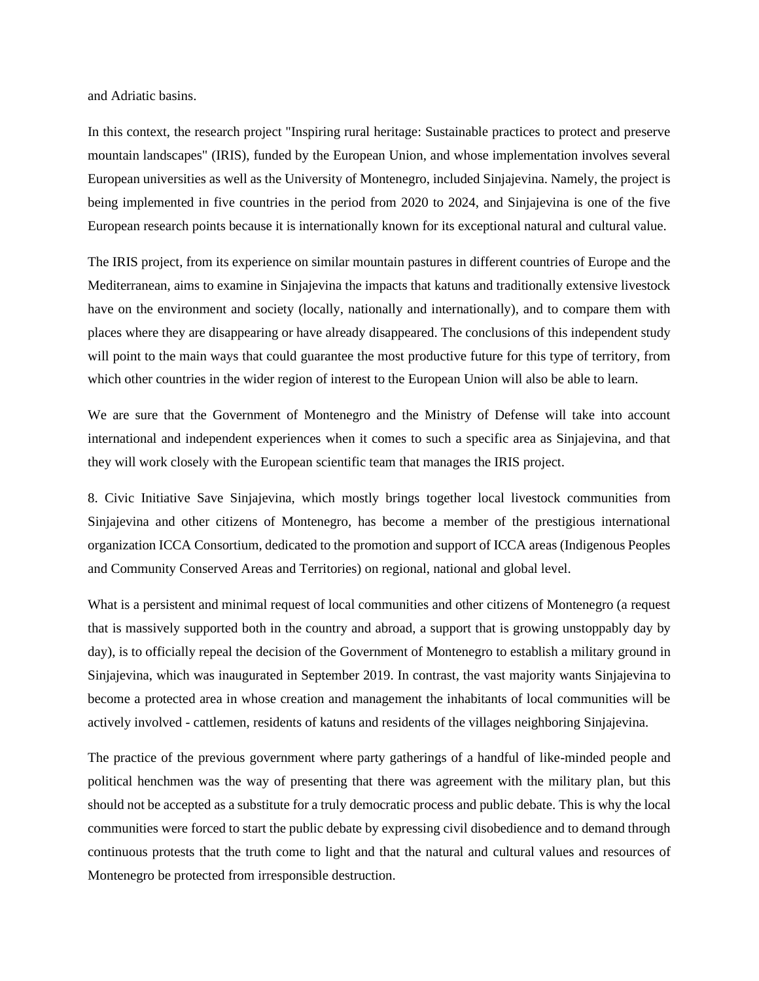and Adriatic basins.

In this context, the research project "Inspiring rural heritage: Sustainable practices to protect and preserve mountain landscapes" (IRIS), funded by the European Union, and whose implementation involves several European universities as well as the University of Montenegro, included Sinjajevina. Namely, the project is being implemented in five countries in the period from 2020 to 2024, and Sinjajevina is one of the five European research points because it is internationally known for its exceptional natural and cultural value.

The IRIS project, from its experience on similar mountain pastures in different countries of Europe and the Mediterranean, aims to examine in Sinjajevina the impacts that katuns and traditionally extensive livestock have on the environment and society (locally, nationally and internationally), and to compare them with places where they are disappearing or have already disappeared. The conclusions of this independent study will point to the main ways that could guarantee the most productive future for this type of territory, from which other countries in the wider region of interest to the European Union will also be able to learn.

We are sure that the Government of Montenegro and the Ministry of Defense will take into account international and independent experiences when it comes to such a specific area as Sinjajevina, and that they will work closely with the European scientific team that manages the IRIS project.

8. Civic Initiative Save Sinjajevina, which mostly brings together local livestock communities from Sinjajevina and other citizens of Montenegro, has become a member of the prestigious international organization ICCA Consortium, dedicated to the promotion and support of ICCA areas (Indigenous Peoples and Community Conserved Areas and Territories) on regional, national and global level.

What is a persistent and minimal request of local communities and other citizens of Montenegro (a request that is massively supported both in the country and abroad, a support that is growing unstoppably day by day), is to officially repeal the decision of the Government of Montenegro to establish a military ground in Sinjajevina, which was inaugurated in September 2019. In contrast, the vast majority wants Sinjajevina to become a protected area in whose creation and management the inhabitants of local communities will be actively involved - cattlemen, residents of katuns and residents of the villages neighboring Sinjajevina.

The practice of the previous government where party gatherings of a handful of like-minded people and political henchmen was the way of presenting that there was agreement with the military plan, but this should not be accepted as a substitute for a truly democratic process and public debate. This is why the local communities were forced to start the public debate by expressing civil disobedience and to demand through continuous protests that the truth come to light and that the natural and cultural values and resources of Montenegro be protected from irresponsible destruction.